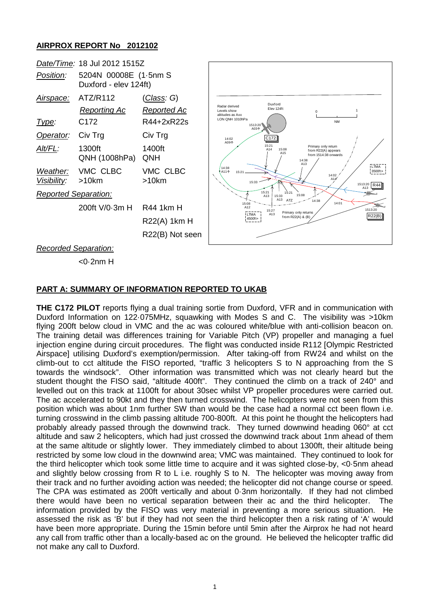## **AIRPROX REPORT No 2012102**



#### **PART A: SUMMARY OF INFORMATION REPORTED TO UKAB**

**THE C172 PILOT** reports flying a dual training sortie from Duxford, VFR and in communication with Duxford Information on 122·075MHz, squawking with Modes S and C. The visibility was >10km flying 200ft below cloud in VMC and the ac was coloured white/blue with anti-collision beacon on. The training detail was differences training for Variable Pitch (VP) propeller and managing a fuel injection engine during circuit procedures. The flight was conducted inside R112 [Olympic Restricted Airspace] utilising Duxford's exemption/permission. After taking-off from RW24 and whilst on the climb-out to cct altitude the FISO reported, "traffic 3 helicopters S to N approaching from the S towards the windsock". Other information was transmitted which was not clearly heard but the student thought the FISO said, "altitude 400ft". They continued the climb on a track of 240° and levelled out on this track at 1100ft for about 30sec whilst VP propeller procedures were carried out. The ac accelerated to 90kt and they then turned crosswind. The helicopters were not seen from this position which was about 1nm further SW than would be the case had a normal cct been flown i.e. turning crosswind in the climb passing altitude 700-800ft. At this point he thought the helicopters had probably already passed through the downwind track. They turned downwind heading 060° at cct altitude and saw 2 helicopters, which had just crossed the downwind track about 1nm ahead of them at the same altitude or slightly lower. They immediately climbed to about 1300ft, their altitude being restricted by some low cloud in the downwind area; VMC was maintained. They continued to look for the third helicopter which took some little time to acquire and it was sighted close-by, <0·5nm ahead and slightly below crossing from R to L i.e. roughly S to N. The helicopter was moving away from their track and no further avoiding action was needed; the helicopter did not change course or speed. The CPA was estimated as 200ft vertically and about 0·3nm horizontally. If they had not climbed there would have been no vertical separation between their ac and the third helicopter. The information provided by the FISO was very material in preventing a more serious situation. He assessed the risk as 'B' but if they had not seen the third helicopter then a risk rating of 'A' would have been more appropriate. During the 15min before until 5min after the Airprox he had not heard any call from traffic other than a locally-based ac on the ground. He believed the helicopter traffic did not make any call to Duxford.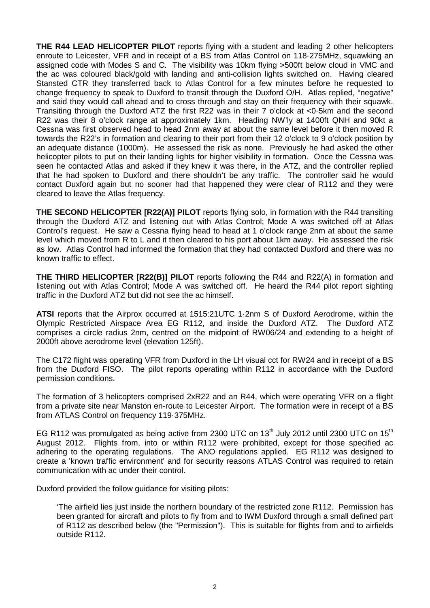**THE R44 LEAD HELICOPTER PILOT** reports flying with a student and leading 2 other helicopters enroute to Leicester, VFR and in receipt of a BS from Atlas Control on 118·275MHz, squawking an assigned code with Modes S and C. The visibility was 10km flying >500ft below cloud in VMC and the ac was coloured black/gold with landing and anti-collision lights switched on. Having cleared Stansted CTR they transferred back to Atlas Control for a few minutes before he requested to change frequency to speak to Duxford to transit through the Duxford O/H. Atlas replied, "negative" and said they would call ahead and to cross through and stay on their frequency with their squawk. Transiting through the Duxford ATZ the first R22 was in their 7 o'clock at <0·5km and the second R22 was their 8 o'clock range at approximately 1km. Heading NW'ly at 1400ft QNH and 90kt a Cessna was first observed head to head 2nm away at about the same level before it then moved R towards the R22's in formation and clearing to their port from their 12 o'clock to 9 o'clock position by an adequate distance (1000m). He assessed the risk as none. Previously he had asked the other helicopter pilots to put on their landing lights for higher visibility in formation. Once the Cessna was seen he contacted Atlas and asked if they knew it was there, in the ATZ, and the controller replied that he had spoken to Duxford and there shouldn't be any traffic. The controller said he would contact Duxford again but no sooner had that happened they were clear of R112 and they were cleared to leave the Atlas frequency.

**THE SECOND HELICOPTER [R22(A)] PILOT** reports flying solo, in formation with the R44 transiting through the Duxford ATZ and listening out with Atlas Control; Mode A was switched off at Atlas Control's request. He saw a Cessna flying head to head at 1 o'clock range 2nm at about the same level which moved from R to L and it then cleared to his port about 1km away. He assessed the risk as low. Atlas Control had informed the formation that they had contacted Duxford and there was no known traffic to effect.

**THE THIRD HELICOPTER [R22(B)] PILOT** reports following the R44 and R22(A) in formation and listening out with Atlas Control; Mode A was switched off. He heard the R44 pilot report sighting traffic in the Duxford ATZ but did not see the ac himself.

**ATSI** reports that the Airprox occurred at 1515:21UTC 1·2nm S of Duxford Aerodrome, within the Olympic Restricted Airspace Area EG R112, and inside the Duxford ATZ. The Duxford ATZ comprises a circle radius 2nm, centred on the midpoint of RW06/24 and extending to a height of 2000ft above aerodrome level (elevation 125ft).

The C172 flight was operating VFR from Duxford in the LH visual cct for RW24 and in receipt of a BS from the Duxford FISO. The pilot reports operating within R112 in accordance with the Duxford permission conditions.

The formation of 3 helicopters comprised 2xR22 and an R44, which were operating VFR on a flight from a private site near Manston en-route to Leicester Airport. The formation were in receipt of a BS from ATLAS Control on frequency 119·375MHz.

EG R112 was promulgated as being active from 2300 UTC on 13<sup>th</sup> July 2012 until 2300 UTC on 15<sup>th</sup> August 2012. Flights from, into or within R112 were prohibited, except for those specified ac adhering to the operating regulations. The ANO regulations applied. EG R112 was designed to create a 'known traffic environment' and for security reasons ATLAS Control was required to retain communication with ac under their control.

Duxford provided the follow guidance for visiting pilots:

'The airfield lies just inside the northern boundary of the restricted zone R112. Permission has been granted for aircraft and pilots to fly from and to IWM Duxford through a small defined part of R112 as described below (the "Permission"). This is suitable for flights from and to airfields outside R112.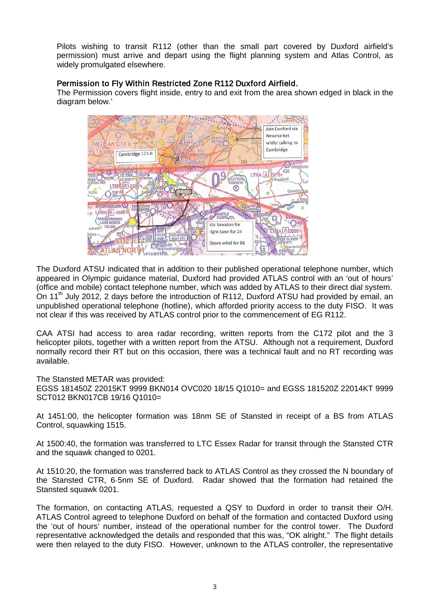Pilots wishing to transit R112 (other than the small part covered by Duxford airfield's permission) must arrive and depart using the flight planning system and Atlas Control, as widely promulgated elsewhere.

## Permission to Fly Within Restricted Zone R112 Duxford Airfield.

The Permission covers flight inside, entry to and exit from the area shown edged in black in the diagram below.'

![](_page_2_Figure_3.jpeg)

The Duxford ATSU indicated that in addition to their published operational telephone number, which appeared in Olympic guidance material, Duxford had provided ATLAS control with an 'out of hours' (office and mobile) contact telephone number, which was added by ATLAS to their direct dial system. On 11<sup>th</sup> July 2012, 2 days before the introduction of R112, Duxford ATSU had provided by email, an unpublished operational telephone (hotline), which afforded priority access to the duty FISO. It was not clear if this was received by ATLAS control prior to the commencement of EG R112.

CAA ATSI had access to area radar recording, written reports from the C172 pilot and the 3 helicopter pilots, together with a written report from the ATSU. Although not a requirement, Duxford normally record their RT but on this occasion, there was a technical fault and no RT recording was available.

The Stansted METAR was provided:

EGSS 181450Z 22015KT 9999 BKN014 OVC020 18/15 Q1010= and EGSS 181520Z 22014KT 9999 SCT012 BKN017CB 19/16 Q1010=

At 1451:00, the helicopter formation was 18nm SE of Stansted in receipt of a BS from ATLAS Control, squawking 1515.

At 1500:40, the formation was transferred to LTC Essex Radar for transit through the Stansted CTR and the squawk changed to 0201.

At 1510:20, the formation was transferred back to ATLAS Control as they crossed the N boundary of the Stansted CTR, 6·5nm SE of Duxford. Radar showed that the formation had retained the Stansted squawk 0201.

The formation, on contacting ATLAS, requested a QSY to Duxford in order to transit their O/H. ATLAS Control agreed to telephone Duxford on behalf of the formation and contacted Duxford using the 'out of hours' number, instead of the operational number for the control tower. The Duxford representative acknowledged the details and responded that this was, "OK alright." The flight details were then relayed to the duty FISO. However, unknown to the ATLAS controller, the representative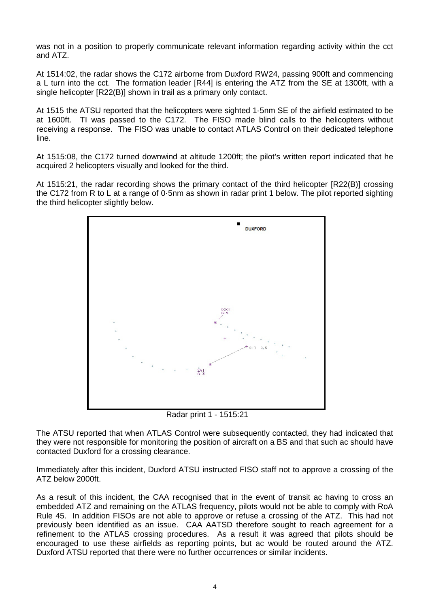was not in a position to properly communicate relevant information regarding activity within the cct and ATZ.

At 1514:02, the radar shows the C172 airborne from Duxford RW24, passing 900ft and commencing a L turn into the cct. The formation leader [R44] is entering the ATZ from the SE at 1300ft, with a single helicopter [R22(B)] shown in trail as a primary only contact.

At 1515 the ATSU reported that the helicopters were sighted 1·5nm SE of the airfield estimated to be at 1600ft. TI was passed to the C172. The FISO made blind calls to the helicopters without receiving a response. The FISO was unable to contact ATLAS Control on their dedicated telephone line.

At 1515:08, the C172 turned downwind at altitude 1200ft; the pilot's written report indicated that he acquired 2 helicopters visually and looked for the third.

At 1515:21, the radar recording shows the primary contact of the third helicopter [R22(B)] crossing the C172 from R to L at a range of 0·5nm as shown in radar print 1 below. The pilot reported sighting the third helicopter slightly below.

![](_page_3_Figure_5.jpeg)

Radar print 1 - 1515:21

The ATSU reported that when ATLAS Control were subsequently contacted, they had indicated that they were not responsible for monitoring the position of aircraft on a BS and that such ac should have contacted Duxford for a crossing clearance.

Immediately after this incident, Duxford ATSU instructed FISO staff not to approve a crossing of the ATZ below 2000ft.

As a result of this incident, the CAA recognised that in the event of transit ac having to cross an embedded ATZ and remaining on the ATLAS frequency, pilots would not be able to comply with RoA Rule 45. In addition FISOs are not able to approve or refuse a crossing of the ATZ. This had not previously been identified as an issue. CAA AATSD therefore sought to reach agreement for a refinement to the ATLAS crossing procedures. As a result it was agreed that pilots should be encouraged to use these airfields as reporting points, but ac would be routed around the ATZ. Duxford ATSU reported that there were no further occurrences or similar incidents.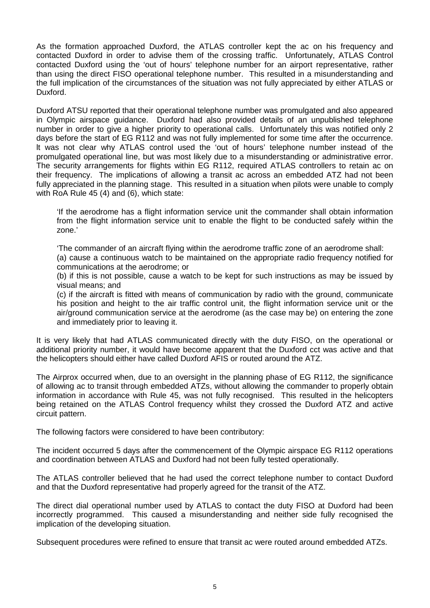As the formation approached Duxford, the ATLAS controller kept the ac on his frequency and contacted Duxford in order to advise them of the crossing traffic. Unfortunately, ATLAS Control contacted Duxford using the 'out of hours' telephone number for an airport representative, rather than using the direct FISO operational telephone number. This resulted in a misunderstanding and the full implication of the circumstances of the situation was not fully appreciated by either ATLAS or Duxford.

Duxford ATSU reported that their operational telephone number was promulgated and also appeared in Olympic airspace guidance. Duxford had also provided details of an unpublished telephone number in order to give a higher priority to operational calls. Unfortunately this was notified only 2 days before the start of EG R112 and was not fully implemented for some time after the occurrence. lt was not clear why ATLAS control used the 'out of hours' telephone number instead of the promulgated operational line, but was most likely due to a misunderstanding or administrative error. The security arrangements for flights within EG R112, required ATLAS controllers to retain ac on their frequency. The implications of allowing a transit ac across an embedded ATZ had not been fully appreciated in the planning stage. This resulted in a situation when pilots were unable to comply with RoA Rule 45 (4) and (6), which state:

'If the aerodrome has a flight information service unit the commander shall obtain information from the flight information service unit to enable the flight to be conducted safely within the zone.'

'The commander of an aircraft flying within the aerodrome traffic zone of an aerodrome shall: (a) cause a continuous watch to be maintained on the appropriate radio frequency notified for communications at the aerodrome; or

(b) if this is not possible, cause a watch to be kept for such instructions as may be issued by visual means; and

(c) if the aircraft is fitted with means of communication by radio with the ground, communicate his position and height to the air traffic control unit, the flight information service unit or the air/ground communication service at the aerodrome (as the case may be) on entering the zone and immediately prior to leaving it.

It is very likely that had ATLAS communicated directly with the duty FISO, on the operational or additional priority number, it would have become apparent that the Duxford cct was active and that the helicopters should either have called Duxford AFIS or routed around the ATZ.

The Airprox occurred when, due to an oversight in the planning phase of EG R112, the significance of allowing ac to transit through embedded ATZs, without allowing the commander to properly obtain information in accordance with Rule 45, was not fully recognised. This resulted in the helicopters being retained on the ATLAS Control frequency whilst they crossed the Duxford ATZ and active circuit pattern.

The following factors were considered to have been contributory:

The incident occurred 5 days after the commencement of the Olympic airspace EG R112 operations and coordination between ATLAS and Duxford had not been fully tested operationally.

The ATLAS controller believed that he had used the correct telephone number to contact Duxford and that the Duxford representative had properly agreed for the transit of the ATZ.

The direct dial operational number used by ATLAS to contact the duty FISO at Duxford had been incorrectly programmed. This caused a misunderstanding and neither side fully recognised the implication of the developing situation.

Subsequent procedures were refined to ensure that transit ac were routed around embedded ATZs.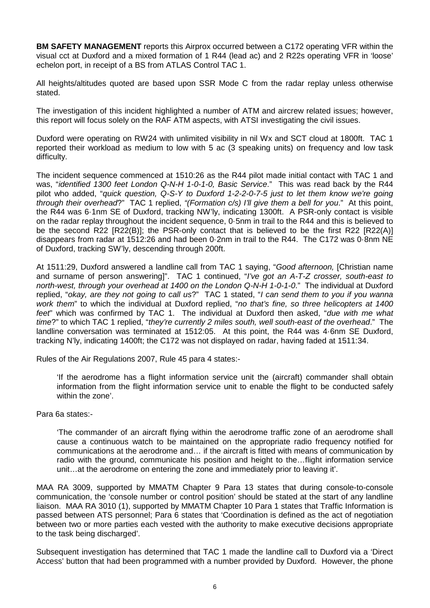**BM SAFETY MANAGEMENT** reports this Airprox occurred between a C172 operating VFR within the visual cct at Duxford and a mixed formation of 1 R44 (lead ac) and 2 R22s operating VFR in 'loose' echelon port, in receipt of a BS from ATLAS Control TAC 1.

All heights/altitudes quoted are based upon SSR Mode C from the radar replay unless otherwise stated.

The investigation of this incident highlighted a number of ATM and aircrew related issues; however, this report will focus solely on the RAF ATM aspects, with ATSI investigating the civil issues.

Duxford were operating on RW24 with unlimited visibility in nil Wx and SCT cloud at 1800ft. TAC 1 reported their workload as medium to low with 5 ac (3 speaking units) on frequency and low task difficulty.

The incident sequence commenced at 1510:26 as the R44 pilot made initial contact with TAC 1 and was, "*identified 1300 feet London Q-N-H 1-0-1-0, Basic Service*." This was read back by the R44 pilot who added, "*quick question, Q-S-Y to Duxford 1-2-2-0-7-5 just to let them know we're going through their overhead*?" TAC 1 replied, *"(Formation c/s) I'll give them a bell for you*." At this point, the R44 was 6·1nm SE of Duxford, tracking NW'ly, indicating 1300ft. A PSR-only contact is visible on the radar replay throughout the incident sequence, 0·5nm in trail to the R44 and this is believed to be the second R22 [R22(B)]; the PSR-only contact that is believed to be the first R22 [R22(A)] disappears from radar at 1512:26 and had been 0·2nm in trail to the R44. The C172 was 0·8nm NE of Duxford, tracking SW'ly, descending through 200ft.

At 1511:29, Duxford answered a landline call from TAC 1 saying, "*Good afternoon,* [Christian name and surname of person answering]". TAC 1 continued, "*I've got an A-T-Z crosser, south-east to north-west, through your overhead at 1400 on the London Q-N-H 1-0-1-0*." The individual at Duxford replied, "*okay, are they not going to call us*?" TAC 1 stated, "*I can send them to you if you wanna work them*" to which the individual at Duxford replied, "*no that's fine, so three helicopters at 1400 feet*" which was confirmed by TAC 1. The individual at Duxford then asked, "*due with me what time*?" to which TAC 1 replied, "*they're currently 2 miles south, well south-east of the overhead*." The landline conversation was terminated at 1512:05. At this point, the R44 was 4·6nm SE Duxford, tracking N'ly, indicating 1400ft; the C172 was not displayed on radar, having faded at 1511:34.

Rules of the Air Regulations 2007, Rule 45 para 4 states:-

'If the aerodrome has a flight information service unit the (aircraft) commander shall obtain information from the flight information service unit to enable the flight to be conducted safely within the zone'.

Para 6a states:-

'The commander of an aircraft flying within the aerodrome traffic zone of an aerodrome shall cause a continuous watch to be maintained on the appropriate radio frequency notified for communications at the aerodrome and… if the aircraft is fitted with means of communication by radio with the ground, communicate his position and height to the…flight information service unit…at the aerodrome on entering the zone and immediately prior to leaving it'.

MAA RA 3009, supported by MMATM Chapter 9 Para 13 states that during console-to-console communication, the 'console number or control position' should be stated at the start of any landline liaison. MAA RA 3010 (1), supported by MMATM Chapter 10 Para 1 states that Traffic Information is passed between ATS personnel; Para 6 states that 'Coordination is defined as the act of negotiation between two or more parties each vested with the authority to make executive decisions appropriate to the task being discharged'.

Subsequent investigation has determined that TAC 1 made the landline call to Duxford via a 'Direct Access' button that had been programmed with a number provided by Duxford. However, the phone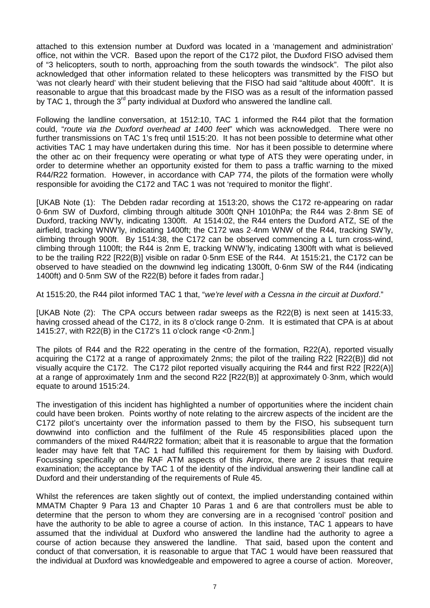attached to this extension number at Duxford was located in a 'management and administration' office, not within the VCR. Based upon the report of the C172 pilot, the Duxford FISO advised them of "3 helicopters, south to north, approaching from the south towards the windsock". The pilot also acknowledged that other information related to these helicopters was transmitted by the FISO but 'was not clearly heard' with their student believing that the FISO had said "altitude about 400ft". It is reasonable to argue that this broadcast made by the FISO was as a result of the information passed by TAC 1, through the  $3^{rd}$  party individual at Duxford who answered the landline call.

Following the landline conversation, at 1512:10, TAC 1 informed the R44 pilot that the formation could, "*route via the Duxford overhead at 1400 feet*" which was acknowledged. There were no further transmissions on TAC 1's freq until 1515:20. It has not been possible to determine what other activities TAC 1 may have undertaken during this time. Nor has it been possible to determine where the other ac on their frequency were operating or what type of ATS they were operating under, in order to determine whether an opportunity existed for them to pass a traffic warning to the mixed R44/R22 formation. However, in accordance with CAP 774, the pilots of the formation were wholly responsible for avoiding the C172 and TAC 1 was not 'required to monitor the flight'.

[UKAB Note (1): The Debden radar recording at 1513:20, shows the C172 re-appearing on radar 0·6nm SW of Duxford, climbing through altitude 300ft QNH 1010hPa; the R44 was 2·8nm SE of Duxford, tracking NW'ly, indicating 1300ft. At 1514:02, the R44 enters the Duxford ATZ, SE of the airfield, tracking WNW'ly, indicating 1400ft; the C172 was 2·4nm WNW of the R44, tracking SW'ly, climbing through 900ft. By 1514:38, the C172 can be observed commencing a L turn cross-wind, climbing through 1100ft; the R44 is 2nm E, tracking WNW'ly, indicating 1300ft with what is believed to be the trailing R22 [R22(B)] visible on radar 0·5nm ESE of the R44. At 1515:21, the C172 can be observed to have steadied on the downwind leg indicating 1300ft, 0·6nm SW of the R44 (indicating 1400ft) and 0·5nm SW of the R22(B) before it fades from radar.]

At 1515:20, the R44 pilot informed TAC 1 that, "*we're level with a Cessna in the circuit at Duxford*."

[UKAB Note (2): The CPA occurs between radar sweeps as the R22(B) is next seen at 1415:33, having crossed ahead of the C172, in its 8 o'clock range 0·2nm. It is estimated that CPA is at about 1415:27, with R22(B) in the C172's 11 o'clock range <0·2nm.]

The pilots of R44 and the R22 operating in the centre of the formation, R22(A), reported visually acquiring the C172 at a range of approximately 2nms; the pilot of the trailing R22 [R22(B)] did not visually acquire the C172. The C172 pilot reported visually acquiring the R44 and first R22 [R22(A)] at a range of approximately 1nm and the second R22 [R22(B)] at approximately 0·3nm, which would equate to around 1515:24.

The investigation of this incident has highlighted a number of opportunities where the incident chain could have been broken. Points worthy of note relating to the aircrew aspects of the incident are the C172 pilot's uncertainty over the information passed to them by the FISO, his subsequent turn downwind into confliction and the fulfilment of the Rule 45 responsibilities placed upon the commanders of the mixed R44/R22 formation; albeit that it is reasonable to argue that the formation leader may have felt that TAC 1 had fulfilled this requirement for them by liaising with Duxford. Focussing specifically on the RAF ATM aspects of this Airprox, there are 2 issues that require examination; the acceptance by TAC 1 of the identity of the individual answering their landline call at Duxford and their understanding of the requirements of Rule 45.

Whilst the references are taken slightly out of context, the implied understanding contained within MMATM Chapter 9 Para 13 and Chapter 10 Paras 1 and 6 are that controllers must be able to determine that the person to whom they are conversing are in a recognised 'control' position and have the authority to be able to agree a course of action. In this instance, TAC 1 appears to have assumed that the individual at Duxford who answered the landline had the authority to agree a course of action because they answered the landline. That said, based upon the content and conduct of that conversation, it is reasonable to argue that TAC 1 would have been reassured that the individual at Duxford was knowledgeable and empowered to agree a course of action. Moreover,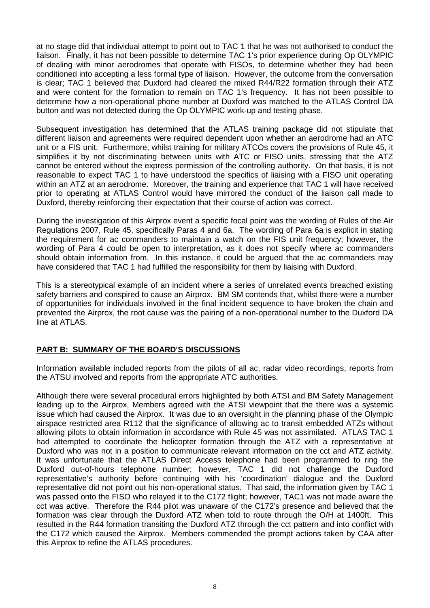at no stage did that individual attempt to point out to TAC 1 that he was not authorised to conduct the liaison. Finally, it has not been possible to determine TAC 1's prior experience during Op OLYMPIC of dealing with minor aerodromes that operate with FISOs, to determine whether they had been conditioned into accepting a less formal type of liaison. However, the outcome from the conversation is clear; TAC 1 believed that Duxford had cleared the mixed R44/R22 formation through their ATZ and were content for the formation to remain on TAC 1's frequency. It has not been possible to determine how a non-operational phone number at Duxford was matched to the ATLAS Control DA button and was not detected during the Op OLYMPIC work-up and testing phase.

Subsequent investigation has determined that the ATLAS training package did not stipulate that different liaison and agreements were required dependent upon whether an aerodrome had an ATC unit or a FIS unit. Furthermore, whilst training for military ATCOs covers the provisions of Rule 45, it simplifies it by not discriminating between units with ATC or FISO units, stressing that the ATZ cannot be entered without the express permission of the controlling authority. On that basis, it is not reasonable to expect TAC 1 to have understood the specifics of liaising with a FISO unit operating within an ATZ at an aerodrome. Moreover, the training and experience that TAC 1 will have received prior to operating at ATLAS Control would have mirrored the conduct of the liaison call made to Duxford, thereby reinforcing their expectation that their course of action was correct.

During the investigation of this Airprox event a specific focal point was the wording of Rules of the Air Regulations 2007, Rule 45, specifically Paras 4 and 6a. The wording of Para 6a is explicit in stating the requirement for ac commanders to maintain a watch on the FIS unit frequency; however, the wording of Para 4 could be open to interpretation, as it does not specify where ac commanders should obtain information from. In this instance, it could be argued that the ac commanders may have considered that TAC 1 had fulfilled the responsibility for them by liaising with Duxford.

This is a stereotypical example of an incident where a series of unrelated events breached existing safety barriers and conspired to cause an Airprox. BM SM contends that, whilst there were a number of opportunities for individuals involved in the final incident sequence to have broken the chain and prevented the Airprox, the root cause was the pairing of a non-operational number to the Duxford DA line at ATLAS.

#### **PART B: SUMMARY OF THE BOARD'S DISCUSSIONS**

Information available included reports from the pilots of all ac, radar video recordings, reports from the ATSU involved and reports from the appropriate ATC authorities.

Although there were several procedural errors highlighted by both ATSI and BM Safety Management leading up to the Airprox, Members agreed with the ATSI viewpoint that the there was a systemic issue which had caused the Airprox. It was due to an oversight in the planning phase of the Olympic airspace restricted area R112 that the significance of allowing ac to transit embedded ATZs without allowing pilots to obtain information in accordance with Rule 45 was not assimilated. ATLAS TAC 1 had attempted to coordinate the helicopter formation through the ATZ with a representative at Duxford who was not in a position to communicate relevant information on the cct and ATZ activity. It was unfortunate that the ATLAS Direct Access telephone had been programmed to ring the Duxford out-of-hours telephone number; however, TAC 1 did not challenge the Duxford representative's authority before continuing with his 'coordination' dialogue and the Duxford representative did not point out his non-operational status. That said, the information given by TAC 1 was passed onto the FISO who relayed it to the C172 flight; however, TAC1 was not made aware the cct was active. Therefore the R44 pilot was unaware of the C172's presence and believed that the formation was clear through the Duxford ATZ when told to route through the O/H at 1400ft. This resulted in the R44 formation transiting the Duxford ATZ through the cct pattern and into conflict with the C172 which caused the Airprox. Members commended the prompt actions taken by CAA after this Airprox to refine the ATLAS procedures.